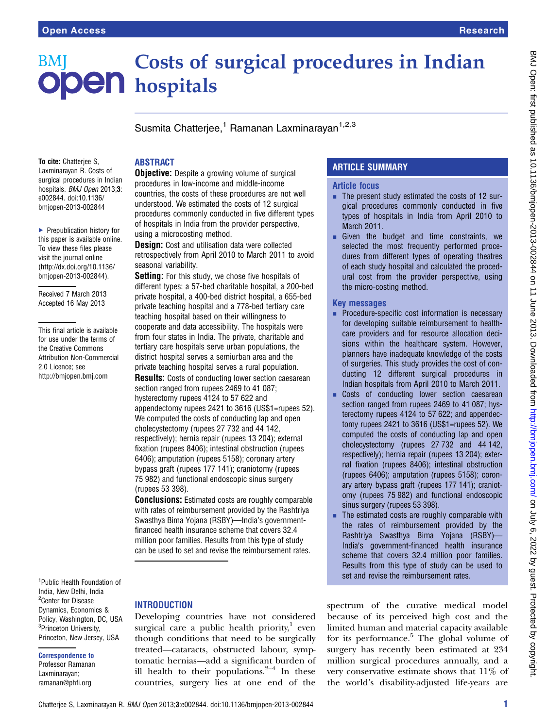# Costs of surgical procedures in Indian BMI **ODEN** hospitals

Susmita Chatteriee.<sup>1</sup> Ramanan Laxminarayan<sup>1,2,3</sup>

#### To cite: Chatterjee S, Laxminarayan R. Costs of surgical procedures in Indian hospitals. BMJ Open 2013;3: e002844. doi:10.1136/ bmjopen-2013-002844

▶ Prepublication history for this paper is available online. To view these files please visit the journal online [\(http://dx.doi.org/10.1136/](http://dx.doi.org/10.1136/bmjopen-2013-002844) [bmjopen-2013-002844](http://dx.doi.org/10.1136/bmjopen-2013-002844)).

Received 7 March 2013 Accepted 16 May 2013

This final article is available for use under the terms of the Creative Commons Attribution Non-Commercial 2.0 Licence; see <http://bmjopen.bmj.com>

<sup>1</sup> Public Health Foundation of India, New Delhi, India <sup>2</sup>Center for Disease Dynamics, Economics & Policy, Washington, DC, USA <sup>3</sup>Princeton University, Princeton, New Jersey, USA

Professor Ramanan Laxminarayan; ramanan@phfi.org

# ABSTRACT

**Objective:** Despite a growing volume of surgical procedures in low-income and middle-income countries, the costs of these procedures are not well understood. We estimated the costs of 12 surgical procedures commonly conducted in five different types of hospitals in India from the provider perspective, using a microcosting method.

**Design:** Cost and utilisation data were collected retrospectively from April 2010 to March 2011 to avoid seasonal variability.

**Setting:** For this study, we chose five hospitals of different types: a 57-bed charitable hospital, a 200-bed private hospital, a 400-bed district hospital, a 655-bed private teaching hospital and a 778-bed tertiary care teaching hospital based on their willingness to cooperate and data accessibility. The hospitals were from four states in India. The private, charitable and tertiary care hospitals serve urban populations, the district hospital serves a semiurban area and the private teaching hospital serves a rural population. Results: Costs of conducting lower section caesarean section ranged from rupees 2469 to 41 087;

hysterectomy rupees 4124 to 57 622 and appendectomy rupees 2421 to 3616 (US\$1=rupees 52). We computed the costs of conducting lap and open cholecystectomy (rupees 27 732 and 44 142, respectively); hernia repair (rupees 13 204); external fixation (rupees 8406); intestinal obstruction (rupees 6406); amputation (rupees 5158); coronary artery bypass graft (rupees 177 141); craniotomy (rupees 75 982) and functional endoscopic sinus surgery (rupees 53 398).

**Conclusions:** Estimated costs are roughly comparable with rates of reimbursement provided by the Rashtriya Swasthya Bima Yojana (RSBY)—India's governmentfinanced health insurance scheme that covers 32.4 million poor families. Results from this type of study can be used to set and revise the reimbursement rates.

# ARTICLE SUMMARY

### Article focus

- The present study estimated the costs of 12 surgical procedures commonly conducted in five types of hospitals in India from April 2010 to March 2011.
- **Example 1** Given the budget and time constraints, we selected the most frequently performed procedures from different types of operating theatres of each study hospital and calculated the procedural cost from the provider perspective, using the micro-costing method.

#### Key messages

- **Procedure-specific cost information is necessary** for developing suitable reimbursement to healthcare providers and for resource allocation decisions within the healthcare system. However, planners have inadequate knowledge of the costs of surgeries. This study provides the cost of conducting 12 different surgical procedures in Indian hospitals from April 2010 to March 2011.
- Costs of conducting lower section caesarean section ranged from rupees 2469 to 41 087; hysterectomy rupees 4124 to 57 622; and appendectomy rupees 2421 to 3616 (US\$1=rupees 52). We computed the costs of conducting lap and open cholecystectomy (rupees 27 732 and 44 142, respectively); hernia repair (rupees 13 204); external fixation (rupees 8406); intestinal obstruction (rupees 6406); amputation (rupees 5158); coronary artery bypass graft (rupees 177 141); craniotomy (rupees 75 982) and functional endoscopic sinus surgery (rupees 53 398).
- $\blacksquare$  The estimated costs are roughly comparable with the rates of reimbursement provided by the Rashtriya Swasthya Bima Yojana (RSBY)— India's government-financed health insurance scheme that covers 32.4 million poor families. Results from this type of study can be used to set and revise the reimbursement rates.

# Correspondence to

Developing countries have not considered surgical care a public health priority, $1$  even though conditions that need to be surgically treated—cataracts, obstructed labour, symptomatic hernias—add a significant burden of ill health to their populations. $2-4$  In these countries, surgery lies at one end of the spectrum of the curative medical model because of its perceived high cost and the limited human and material capacity available for its performance.<sup>5</sup> The global volume of surgery has recently been estimated at 234 million surgical procedures annually, and a very conservative estimate shows that 11% of the world's disability-adjusted life-years are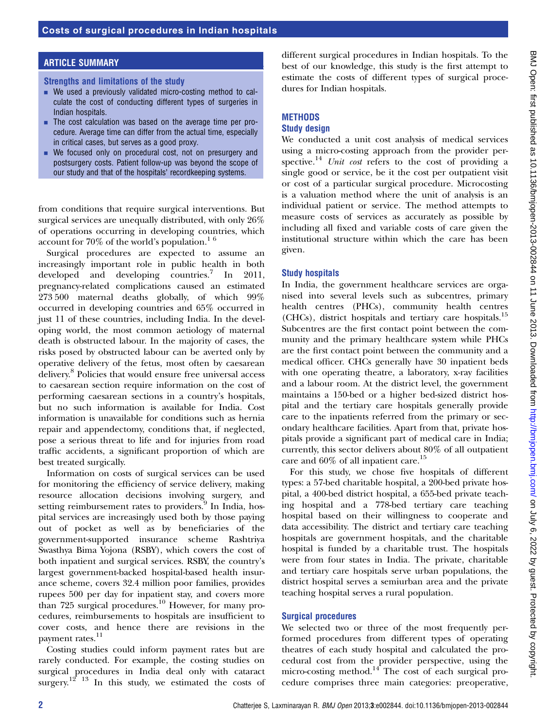#### ARTICLE SUMMARY

Strengths and limitations of the study

- We used a previously validated micro-costing method to calculate the cost of conducting different types of surgeries in Indian hospitals.
- The cost calculation was based on the average time per procedure. Average time can differ from the actual time, especially in critical cases, but serves as a good proxy.
- $\blacksquare$  We focused only on procedural cost, not on presurgery and postsurgery costs. Patient follow-up was beyond the scope of our study and that of the hospitals' recordkeeping systems.

from conditions that require surgical interventions. But surgical services are unequally distributed, with only 26% of operations occurring in developing countries, which account for 70% of the world's population.<sup>16</sup>

Surgical procedures are expected to assume an increasingly important role in public health in both developed and developing countries.<sup>7</sup> In 2011, pregnancy-related complications caused an estimated 273 500 maternal deaths globally, of which 99% occurred in developing countries and 65% occurred in just 11 of these countries, including India. In the developing world, the most common aetiology of maternal death is obstructed labour. In the majority of cases, the risks posed by obstructed labour can be averted only by operative delivery of the fetus, most often by caesarean delivery.8 Policies that would ensure free universal access to caesarean section require information on the cost of performing caesarean sections in a country's hospitals, but no such information is available for India. Cost information is unavailable for conditions such as hernia repair and appendectomy, conditions that, if neglected, pose a serious threat to life and for injuries from road traffic accidents, a significant proportion of which are best treated surgically.

Information on costs of surgical services can be used for monitoring the efficiency of service delivery, making resource allocation decisions involving surgery, and setting reimbursement rates to providers.<sup>9</sup> In India, hospital services are increasingly used both by those paying out of pocket as well as by beneficiaries of the government-supported insurance scheme Rashtriya Swasthya Bima Yojona (RSBY), which covers the cost of both inpatient and surgical services. RSBY, the country's largest government-backed hospital-based health insurance scheme, covers 32.4 million poor families, provides rupees 500 per day for inpatient stay, and covers more than 725 surgical procedures.<sup>10</sup> However, for many procedures, reimbursements to hospitals are insufficient to cover costs, and hence there are revisions in the payment rates.<sup>11</sup>

Costing studies could inform payment rates but are rarely conducted. For example, the costing studies on surgical procedures in India deal only with cataract surgery.<sup>12 13</sup> In this study, we estimated the costs of different surgical procedures in Indian hospitals. To the best of our knowledge, this study is the first attempt to estimate the costs of different types of surgical procedures for Indian hospitals.

### **METHODS**

#### Study design

We conducted a unit cost analysis of medical services using a micro-costing approach from the provider perspective.<sup>14</sup> Unit cost refers to the cost of providing a single good or service, be it the cost per outpatient visit or cost of a particular surgical procedure. Microcosting is a valuation method where the unit of analysis is an individual patient or service. The method attempts to measure costs of services as accurately as possible by including all fixed and variable costs of care given the institutional structure within which the care has been given.

#### Study hospitals

In India, the government healthcare services are organised into several levels such as subcentres, primary health centres (PHCs), community health centres (CHCs), district hospitals and tertiary care hospitals.15 Subcentres are the first contact point between the community and the primary healthcare system while PHCs are the first contact point between the community and a medical officer. CHCs generally have 30 inpatient beds with one operating theatre, a laboratory, x-ray facilities and a labour room. At the district level, the government maintains a 150-bed or a higher bed-sized district hospital and the tertiary care hospitals generally provide care to the inpatients referred from the primary or secondary healthcare facilities. Apart from that, private hospitals provide a significant part of medical care in India; currently, this sector delivers about 80% of all outpatient care and 60% of all inpatient care.15

For this study, we chose five hospitals of different types: a 57-bed charitable hospital, a 200-bed private hospital, a 400-bed district hospital, a 655-bed private teaching hospital and a 778-bed tertiary care teaching hospital based on their willingness to cooperate and data accessibility. The district and tertiary care teaching hospitals are government hospitals, and the charitable hospital is funded by a charitable trust. The hospitals were from four states in India. The private, charitable and tertiary care hospitals serve urban populations, the district hospital serves a semiurban area and the private teaching hospital serves a rural population.

#### Surgical procedures

We selected two or three of the most frequently performed procedures from different types of operating theatres of each study hospital and calculated the procedural cost from the provider perspective, using the micro-costing method.<sup>14</sup> The cost of each surgical procedure comprises three main categories: preoperative,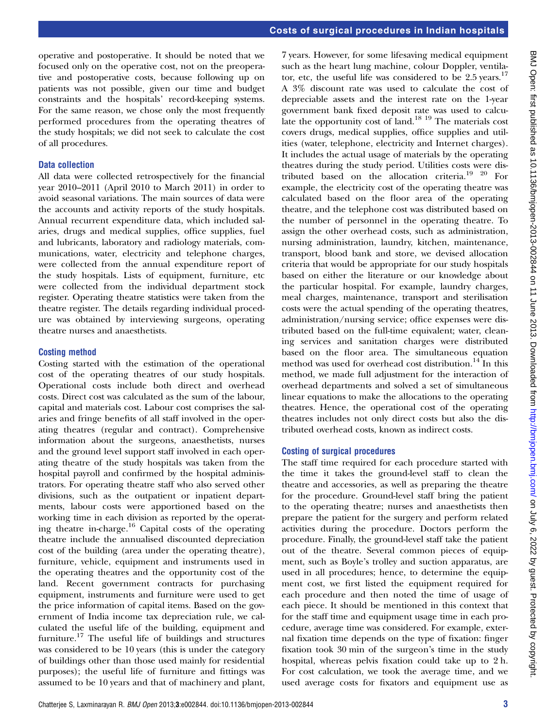operative and postoperative. It should be noted that we focused only on the operative cost, not on the preoperative and postoperative costs, because following up on patients was not possible, given our time and budget constraints and the hospitals' record-keeping systems. For the same reason, we chose only the most frequently performed procedures from the operating theatres of the study hospitals; we did not seek to calculate the cost of all procedures.

#### Data collection

All data were collected retrospectively for the financial year 2010–2011 (April 2010 to March 2011) in order to avoid seasonal variations. The main sources of data were the accounts and activity reports of the study hospitals. Annual recurrent expenditure data, which included salaries, drugs and medical supplies, office supplies, fuel and lubricants, laboratory and radiology materials, communications, water, electricity and telephone charges, were collected from the annual expenditure report of the study hospitals. Lists of equipment, furniture, etc were collected from the individual department stock register. Operating theatre statistics were taken from the theatre register. The details regarding individual procedure was obtained by interviewing surgeons, operating theatre nurses and anaesthetists.

#### Costing method

Costing started with the estimation of the operational cost of the operating theatres of our study hospitals. Operational costs include both direct and overhead costs. Direct cost was calculated as the sum of the labour, capital and materials cost. Labour cost comprises the salaries and fringe benefits of all staff involved in the operating theatres (regular and contract). Comprehensive information about the surgeons, anaesthetists, nurses and the ground level support staff involved in each operating theatre of the study hospitals was taken from the hospital payroll and confirmed by the hospital administrators. For operating theatre staff who also served other divisions, such as the outpatient or inpatient departments, labour costs were apportioned based on the working time in each division as reported by the operating theatre in-charge.16 Capital costs of the operating theatre include the annualised discounted depreciation cost of the building (area under the operating theatre), furniture, vehicle, equipment and instruments used in the operating theatres and the opportunity cost of the land. Recent government contracts for purchasing equipment, instruments and furniture were used to get the price information of capital items. Based on the government of India income tax depreciation rule, we calculated the useful life of the building, equipment and furniture.17 The useful life of buildings and structures was considered to be 10 years (this is under the category of buildings other than those used mainly for residential purposes); the useful life of furniture and fittings was assumed to be 10 years and that of machinery and plant,

7 years. However, for some lifesaving medical equipment such as the heart lung machine, colour Doppler, ventilator, etc, the useful life was considered to be 2.5 years.<sup>17</sup> A 3% discount rate was used to calculate the cost of depreciable assets and the interest rate on the 1-year government bank fixed deposit rate was used to calculate the opportunity cost of land.18 19 The materials cost covers drugs, medical supplies, office supplies and utilities (water, telephone, electricity and Internet charges). It includes the actual usage of materials by the operating theatres during the study period. Utilities costs were distributed based on the allocation criteria.19 20 For example, the electricity cost of the operating theatre was calculated based on the floor area of the operating theatre, and the telephone cost was distributed based on the number of personnel in the operating theatre. To assign the other overhead costs, such as administration, nursing administration, laundry, kitchen, maintenance, transport, blood bank and store, we devised allocation criteria that would be appropriate for our study hospitals based on either the literature or our knowledge about the particular hospital. For example, laundry charges, meal charges, maintenance, transport and sterilisation costs were the actual spending of the operating theatres, administration/nursing service; office expenses were distributed based on the full-time equivalent; water, cleaning services and sanitation charges were distributed based on the floor area. The simultaneous equation method was used for overhead cost distribution.<sup>14</sup> In this method, we made full adjustment for the interaction of overhead departments and solved a set of simultaneous linear equations to make the allocations to the operating theatres. Hence, the operational cost of the operating theatres includes not only direct costs but also the distributed overhead costs, known as indirect costs.

#### Costing of surgical procedures

The staff time required for each procedure started with the time it takes the ground-level staff to clean the theatre and accessories, as well as preparing the theatre for the procedure. Ground-level staff bring the patient to the operating theatre; nurses and anaesthetists then prepare the patient for the surgery and perform related activities during the procedure. Doctors perform the procedure. Finally, the ground-level staff take the patient out of the theatre. Several common pieces of equipment, such as Boyle's trolley and suction apparatus, are used in all procedures; hence, to determine the equipment cost, we first listed the equipment required for each procedure and then noted the time of usage of each piece. It should be mentioned in this context that for the staff time and equipment usage time in each procedure, average time was considered. For example, external fixation time depends on the type of fixation: finger fixation took 30 min of the surgeon's time in the study hospital, whereas pelvis fixation could take up to 2 h. For cost calculation, we took the average time, and we used average costs for fixators and equipment use as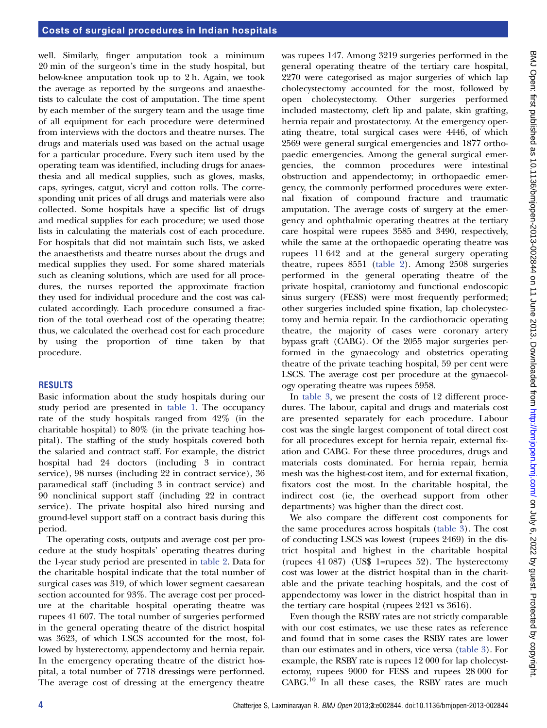well. Similarly, finger amputation took a minimum 20 min of the surgeon's time in the study hospital, but below-knee amputation took up to 2 h. Again, we took the average as reported by the surgeons and anaesthetists to calculate the cost of amputation. The time spent by each member of the surgery team and the usage time of all equipment for each procedure were determined from interviews with the doctors and theatre nurses. The drugs and materials used was based on the actual usage for a particular procedure. Every such item used by the operating team was identified, including drugs for anaesthesia and all medical supplies, such as gloves, masks, caps, syringes, catgut, vicryl and cotton rolls. The corresponding unit prices of all drugs and materials were also collected. Some hospitals have a specific list of drugs and medical supplies for each procedure; we used those lists in calculating the materials cost of each procedure. For hospitals that did not maintain such lists, we asked the anaesthetists and theatre nurses about the drugs and medical supplies they used. For some shared materials such as cleaning solutions, which are used for all procedures, the nurses reported the approximate fraction they used for individual procedure and the cost was calculated accordingly. Each procedure consumed a fraction of the total overhead cost of the operating theatre; thus, we calculated the overhead cost for each procedure by using the proportion of time taken by that procedure.

#### RESULTS

Basic information about the study hospitals during our study period are presented in table 1. The occupancy rate of the study hospitals ranged from 42% (in the charitable hospital) to 80% (in the private teaching hospital). The staffing of the study hospitals covered both the salaried and contract staff. For example, the district hospital had 24 doctors (including 3 in contract service), 98 nurses (including 22 in contract service), 36 paramedical staff (including 3 in contract service) and 90 nonclinical support staff (including 22 in contract service). The private hospital also hired nursing and ground-level support staff on a contract basis during this period.

The operating costs, outputs and average cost per procedure at the study hospitals' operating theatres during the 1-year study period are presented in table 2. Data for the charitable hospital indicate that the total number of surgical cases was 319, of which lower segment caesarean section accounted for 93%. The average cost per procedure at the charitable hospital operating theatre was rupees 41 607. The total number of surgeries performed in the general operating theatre of the district hospital was 3623, of which LSCS accounted for the most, followed by hysterectomy, appendectomy and hernia repair. In the emergency operating theatre of the district hospital, a total number of 7718 dressings were performed. The average cost of dressing at the emergency theatre

was rupees 147. Among 3219 surgeries performed in the general operating theatre of the tertiary care hospital, 2270 were categorised as major surgeries of which lap cholecystectomy accounted for the most, followed by open cholecystectomy. Other surgeries performed included mastectomy, cleft lip and palate, skin grafting, hernia repair and prostatectomy. At the emergency operating theatre, total surgical cases were 4446, of which 2569 were general surgical emergencies and 1877 orthopaedic emergencies. Among the general surgical emergencies, the common procedures were intestinal obstruction and appendectomy; in orthopaedic emergency, the commonly performed procedures were external fixation of compound fracture and traumatic amputation. The average costs of surgery at the emergency and ophthalmic operating theatres at the tertiary care hospital were rupees 3585 and 3490, respectively, while the same at the orthopaedic operating theatre was rupees 11 642 and at the general surgery operating theatre, rupees 8551 (table 2). Among 2508 surgeries performed in the general operating theatre of the private hospital, craniotomy and functional endoscopic sinus surgery (FESS) were most frequently performed; other surgeries included spine fixation, lap cholecystectomy and hernia repair. In the cardiothoracic operating theatre, the majority of cases were coronary artery bypass graft (CABG). Of the 2055 major surgeries performed in the gynaecology and obstetrics operating theatre of the private teaching hospital, 59 per cent were LSCS. The average cost per procedure at the gynaecology operating theatre was rupees 5958.

In table 3, we present the costs of 12 different procedures. The labour, capital and drugs and materials cost are presented separately for each procedure. Labour cost was the single largest component of total direct cost for all procedures except for hernia repair, external fixation and CABG. For these three procedures, drugs and materials costs dominated. For hernia repair, hernia mesh was the highest-cost item, and for external fixation, fixators cost the most. In the charitable hospital, the indirect cost (ie, the overhead support from other departments) was higher than the direct cost.

We also compare the different cost components for the same procedures across hospitals (table 3). The cost of conducting LSCS was lowest (rupees 2469) in the district hospital and highest in the charitable hospital (rupees 41 087) (US\$ 1=rupees 52). The hysterectomy cost was lower at the district hospital than in the charitable and the private teaching hospitals, and the cost of appendectomy was lower in the district hospital than in the tertiary care hospital (rupees 2421 vs 3616).

Even though the RSBY rates are not strictly comparable with our cost estimates, we use these rates as reference and found that in some cases the RSBY rates are lower than our estimates and in others, vice versa (table 3). For example, the RSBY rate is rupees 12 000 for lap cholecystectomy, rupees 9000 for FESS and rupees 28 000 for  $CABG<sup>10</sup>$  In all these cases, the RSBY rates are much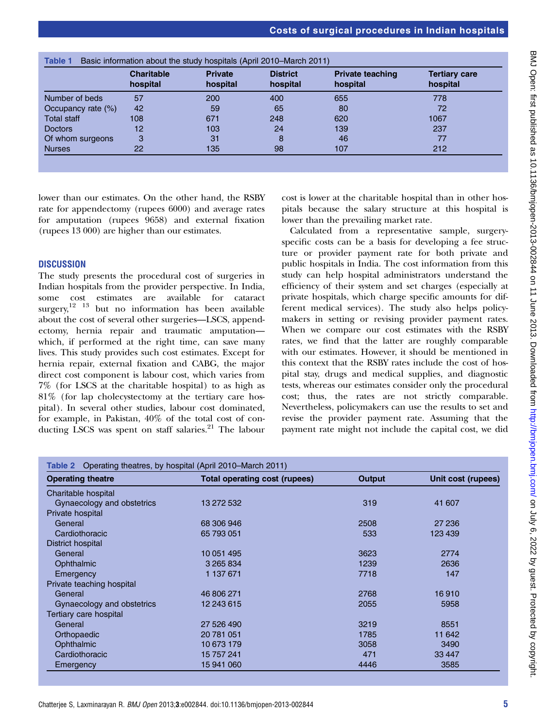| Number of beds<br>Occupancy rate (%)<br>Total staff<br>Doctors<br>Of whom surgeons<br>Nurses                                                                                                                                                                                                                                                                                                                                                                                                                                                                                                                                                                                                                                                                                                                                                                                                                                                                                                                                                                                  | 57<br>42<br>108<br>12<br>3<br>22 | 200<br>59<br>671<br>103<br>31<br>135                            | 400<br>65<br>248<br>24<br>8<br>98 | 655<br>80<br>620<br>139<br>46<br>107                                                                                                                                                                                                                                                                                                                                                                                                                                                                                                                                                                                                                                                                                                                                                                                                                                                                                                                                                                                                                                                                                                                                                                                                                                                                       | 778<br>72<br>1067<br>237 |
|-------------------------------------------------------------------------------------------------------------------------------------------------------------------------------------------------------------------------------------------------------------------------------------------------------------------------------------------------------------------------------------------------------------------------------------------------------------------------------------------------------------------------------------------------------------------------------------------------------------------------------------------------------------------------------------------------------------------------------------------------------------------------------------------------------------------------------------------------------------------------------------------------------------------------------------------------------------------------------------------------------------------------------------------------------------------------------|----------------------------------|-----------------------------------------------------------------|-----------------------------------|------------------------------------------------------------------------------------------------------------------------------------------------------------------------------------------------------------------------------------------------------------------------------------------------------------------------------------------------------------------------------------------------------------------------------------------------------------------------------------------------------------------------------------------------------------------------------------------------------------------------------------------------------------------------------------------------------------------------------------------------------------------------------------------------------------------------------------------------------------------------------------------------------------------------------------------------------------------------------------------------------------------------------------------------------------------------------------------------------------------------------------------------------------------------------------------------------------------------------------------------------------------------------------------------------------|--------------------------|
|                                                                                                                                                                                                                                                                                                                                                                                                                                                                                                                                                                                                                                                                                                                                                                                                                                                                                                                                                                                                                                                                               |                                  |                                                                 |                                   |                                                                                                                                                                                                                                                                                                                                                                                                                                                                                                                                                                                                                                                                                                                                                                                                                                                                                                                                                                                                                                                                                                                                                                                                                                                                                                            |                          |
|                                                                                                                                                                                                                                                                                                                                                                                                                                                                                                                                                                                                                                                                                                                                                                                                                                                                                                                                                                                                                                                                               |                                  |                                                                 |                                   |                                                                                                                                                                                                                                                                                                                                                                                                                                                                                                                                                                                                                                                                                                                                                                                                                                                                                                                                                                                                                                                                                                                                                                                                                                                                                                            |                          |
|                                                                                                                                                                                                                                                                                                                                                                                                                                                                                                                                                                                                                                                                                                                                                                                                                                                                                                                                                                                                                                                                               |                                  |                                                                 |                                   |                                                                                                                                                                                                                                                                                                                                                                                                                                                                                                                                                                                                                                                                                                                                                                                                                                                                                                                                                                                                                                                                                                                                                                                                                                                                                                            |                          |
|                                                                                                                                                                                                                                                                                                                                                                                                                                                                                                                                                                                                                                                                                                                                                                                                                                                                                                                                                                                                                                                                               |                                  |                                                                 |                                   |                                                                                                                                                                                                                                                                                                                                                                                                                                                                                                                                                                                                                                                                                                                                                                                                                                                                                                                                                                                                                                                                                                                                                                                                                                                                                                            |                          |
|                                                                                                                                                                                                                                                                                                                                                                                                                                                                                                                                                                                                                                                                                                                                                                                                                                                                                                                                                                                                                                                                               |                                  |                                                                 |                                   |                                                                                                                                                                                                                                                                                                                                                                                                                                                                                                                                                                                                                                                                                                                                                                                                                                                                                                                                                                                                                                                                                                                                                                                                                                                                                                            | 77                       |
|                                                                                                                                                                                                                                                                                                                                                                                                                                                                                                                                                                                                                                                                                                                                                                                                                                                                                                                                                                                                                                                                               |                                  |                                                                 |                                   |                                                                                                                                                                                                                                                                                                                                                                                                                                                                                                                                                                                                                                                                                                                                                                                                                                                                                                                                                                                                                                                                                                                                                                                                                                                                                                            | 212                      |
| tte for appendectomy (rupees 6000) and average rates<br>or amputation (rupees 9658) and external fixation<br>rupees 13 000) are higher than our estimates.<br>ISCUSSION<br>he study presents the procedural cost of surgeries in<br>idian hospitals from the provider perspective. In India,<br>ome cost estimates are available for<br>urgery, <sup>12</sup> <sup>13</sup> but no information has been available<br>bout the cost of several other surgeries—LSCS, append-<br>ctomy, hernia repair and traumatic amputation-<br>hich, if performed at the right time, can save many<br>ves. This study provides such cost estimates. Except for<br>ernia repair, external fixation and CABG, the major<br>irect cost component is labour cost, which varies from<br>% (for LSCS at the charitable hospital) to as high as<br>1% (for lap cholecystectomy at the tertiary care hos-<br>ital). In several other studies, labour cost dominated,<br>or example, in Pakistan, 40% of the total cost of con-<br>ucting LSCS was spent on staff salaries. <sup>21</sup> The labour |                                  | wer than our estimates. On the other hand, the RSBY<br>cataract |                                   | cost is lower at the charitable hospital than in other hos-<br>pitals because the salary structure at this hospital is<br>lower than the prevailing market rate.<br>Calculated from a representative sample, surgery<br>specific costs can be a basis for developing a fee struc-<br>ture or provider payment rate for both private and<br>public hospitals in India. The cost information from this<br>study can help hospital administrators understand the<br>efficiency of their system and set charges (especially at<br>private hospitals, which charge specific amounts for dif-<br>ferent medical services). The study also helps policy-<br>makers in setting or revising provider payment rates.<br>When we compare our cost estimates with the RSBY<br>rates, we find that the latter are roughly comparable<br>with our estimates. However, it should be mentioned in<br>this context that the RSBY rates include the cost of hos-<br>pital stay, drugs and medical supplies, and diagnostic<br>tests, whereas our estimates consider only the procedural<br>cost; thus, the rates are not strictly comparable.<br>Nevertheless, policymakers can use the results to set and<br>revise the provider payment rate. Assuming that the<br>payment rate might not include the capital cost, we did |                          |
| Table 2                                                                                                                                                                                                                                                                                                                                                                                                                                                                                                                                                                                                                                                                                                                                                                                                                                                                                                                                                                                                                                                                       |                                  | Operating theatres, by hospital (April 2010–March 2011)         |                                   |                                                                                                                                                                                                                                                                                                                                                                                                                                                                                                                                                                                                                                                                                                                                                                                                                                                                                                                                                                                                                                                                                                                                                                                                                                                                                                            |                          |
| <b>Operating theatre</b>                                                                                                                                                                                                                                                                                                                                                                                                                                                                                                                                                                                                                                                                                                                                                                                                                                                                                                                                                                                                                                                      |                                  | <b>Total operating cost (rupees)</b>                            |                                   | <b>Output</b>                                                                                                                                                                                                                                                                                                                                                                                                                                                                                                                                                                                                                                                                                                                                                                                                                                                                                                                                                                                                                                                                                                                                                                                                                                                                                              | Unit cost (rupees)       |
| Charitable hospital                                                                                                                                                                                                                                                                                                                                                                                                                                                                                                                                                                                                                                                                                                                                                                                                                                                                                                                                                                                                                                                           |                                  | 13 272 532                                                      |                                   |                                                                                                                                                                                                                                                                                                                                                                                                                                                                                                                                                                                                                                                                                                                                                                                                                                                                                                                                                                                                                                                                                                                                                                                                                                                                                                            |                          |
| Gynaecology and obstetrics<br>Private hospital                                                                                                                                                                                                                                                                                                                                                                                                                                                                                                                                                                                                                                                                                                                                                                                                                                                                                                                                                                                                                                |                                  |                                                                 |                                   | 319                                                                                                                                                                                                                                                                                                                                                                                                                                                                                                                                                                                                                                                                                                                                                                                                                                                                                                                                                                                                                                                                                                                                                                                                                                                                                                        | 41 607                   |
| General<br>Cardiothoracic                                                                                                                                                                                                                                                                                                                                                                                                                                                                                                                                                                                                                                                                                                                                                                                                                                                                                                                                                                                                                                                     |                                  | 68 306 946                                                      |                                   | 2508                                                                                                                                                                                                                                                                                                                                                                                                                                                                                                                                                                                                                                                                                                                                                                                                                                                                                                                                                                                                                                                                                                                                                                                                                                                                                                       | 27 236                   |

|  | Costs of surgical procedures in Indian hospitals |  |
|--|--------------------------------------------------|--|
|  |                                                  |  |

#### **DISCUSSION**

| Operating theatres, by hospital (April 2010–March 2011) |                               |        |                    |
|---------------------------------------------------------|-------------------------------|--------|--------------------|
| <b>Operating theatre</b>                                | Total operating cost (rupees) | Output | Unit cost (rupees) |
| Charitable hospital                                     |                               |        |                    |
| Gynaecology and obstetrics                              | 13 272 532                    | 319    | 41 607             |
| Private hospital                                        |                               |        |                    |
| General                                                 | 68 306 946                    | 2508   | 27 236             |
| Cardiothoracic                                          | 65 793 051                    | 533    | 123 439            |
| District hospital                                       |                               |        |                    |
| General                                                 | 10 051 495                    | 3623   | 2774               |
| Ophthalmic                                              | 3 265 834                     | 1239   | 2636               |
| Emergency                                               | 1 137 671                     | 7718   | 147                |
| Private teaching hospital                               |                               |        |                    |
| General                                                 | 46 806 271                    | 2768   | 16910              |
| Gynaecology and obstetrics                              | 12 243 615                    | 2055   | 5958               |
| Tertiary care hospital                                  |                               |        |                    |
| General                                                 | 27 526 490                    | 3219   | 8551               |
| Orthopaedic                                             | 20 781 051                    | 1785   | 11 642             |
| Ophthalmic                                              | 10 673 179                    | 3058   | 3490               |
| Cardiothoracic                                          | 15 757 241                    | 471    | 33 447             |
| Emergency                                               | 15 941 060                    | 4446   | 3585               |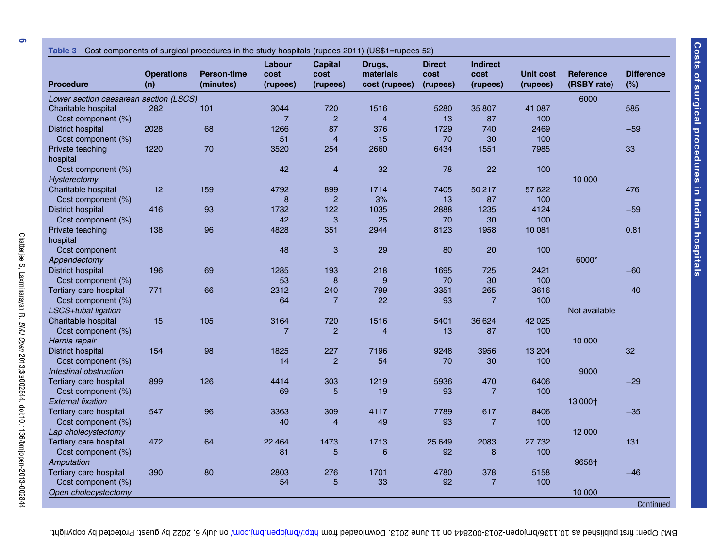| <b>Procedure</b>                       | <b>Operations</b><br>(n) | <b>Person-time</b><br>(minutes) | Labour<br>cost<br>(rupees) | <b>Capital</b><br>cost<br>(rupees) | Drugs,<br>materials<br>cost (rupees) | <b>Direct</b><br>cost<br>(rupees) | <b>Indirect</b><br>cost<br>(rupees) | Unit cost<br>(rupees) | Reference<br>(RSBY rate) | <b>Difference</b><br>(%) |
|----------------------------------------|--------------------------|---------------------------------|----------------------------|------------------------------------|--------------------------------------|-----------------------------------|-------------------------------------|-----------------------|--------------------------|--------------------------|
| Lower section caesarean section (LSCS) |                          |                                 |                            |                                    |                                      |                                   |                                     |                       | 6000                     |                          |
| Charitable hospital                    | 282                      | 101                             | 3044                       | 720                                | 1516                                 | 5280                              | 35 807                              | 41 087                |                          | 585                      |
| Cost component (%)                     |                          |                                 | $\overline{7}$             | $\overline{2}$                     | $\overline{4}$                       | 13                                | 87                                  | 100                   |                          |                          |
| District hospital                      | 2028                     | 68                              | 1266                       | 87                                 | 376                                  | 1729                              | 740                                 | 2469                  |                          | $-59$                    |
| Cost component (%)                     |                          |                                 | 51                         | $\overline{4}$                     | 15                                   | 70                                | 30                                  | 100                   |                          |                          |
| Private teaching                       | 1220                     | 70                              | 3520                       | 254                                | 2660                                 | 6434                              | 1551                                | 7985                  |                          | 33                       |
| hospital                               |                          |                                 |                            |                                    |                                      |                                   |                                     |                       |                          |                          |
| Cost component (%)                     |                          |                                 | 42                         | $\overline{4}$                     | 32                                   | 78                                | 22                                  | 100                   |                          |                          |
| <b>Hysterectomy</b>                    |                          |                                 |                            |                                    |                                      |                                   |                                     |                       | 10 000                   |                          |
| Charitable hospital                    | 12                       | 159                             | 4792                       | 899                                | 1714                                 | 7405                              | 50 217                              | 57 622                |                          | 476                      |
| Cost component (%)                     |                          |                                 | 8                          | $\overline{c}$                     | 3%                                   | 13                                | 87                                  | 100                   |                          |                          |
| District hospital                      | 416                      | 93                              | 1732                       | 122                                | 1035                                 | 2888                              | 1235                                | 4124                  |                          | $-59$                    |
| Cost component (%)                     |                          |                                 | 42                         | 3                                  | 25                                   | 70                                | 30                                  | 100                   |                          |                          |
| Private teaching                       | 138                      | 96                              | 4828                       | 351                                | 2944                                 | 8123                              | 1958                                | 10 081                |                          | 0.81                     |
| hospital                               |                          |                                 |                            |                                    |                                      |                                   |                                     |                       |                          |                          |
| Cost component                         |                          |                                 | 48                         | 3                                  | 29                                   | 80                                | 20                                  | 100                   |                          |                          |
| Appendectomy                           |                          |                                 |                            |                                    |                                      |                                   |                                     |                       | 6000*                    |                          |
| District hospital                      | 196                      | 69                              | 1285                       | 193                                | 218                                  | 1695                              | 725                                 | 2421                  |                          | $-60$                    |
| Cost component (%)                     |                          |                                 | 53                         | 8                                  | 9                                    | 70                                | 30                                  | 100                   |                          |                          |
| Tertiary care hospital                 | 771                      | 66                              | 2312                       | 240                                | 799                                  | 3351                              | 265                                 | 3616                  |                          | $-40$                    |
| Cost component (%)                     |                          |                                 | 64                         | $\overline{7}$                     | 22                                   | 93                                | $\overline{7}$                      | 100                   |                          |                          |
| LSCS+tubal ligation                    |                          |                                 |                            |                                    |                                      |                                   |                                     |                       | Not available            |                          |
| Charitable hospital                    | 15                       | 105                             | 3164                       | 720                                | 1516                                 | 5401                              | 36 624                              | 42 0 25               |                          |                          |
| Cost component (%)                     |                          |                                 | $\overline{7}$             | $\overline{2}$                     | $\overline{4}$                       | 13                                | 87                                  | 100                   |                          |                          |
| Hernia repair                          |                          |                                 |                            |                                    |                                      |                                   |                                     |                       | 10 000                   |                          |
| District hospital                      | 154                      | 98                              | 1825                       | 227                                | 7196                                 | 9248                              | 3956                                | 13 204                |                          | 32                       |
| Cost component (%)                     |                          |                                 | 14                         | $\overline{c}$                     | 54                                   | 70                                | 30                                  | 100                   |                          |                          |
| Intestinal obstruction                 |                          |                                 |                            |                                    |                                      |                                   |                                     |                       | 9000                     |                          |
| Tertiary care hospital                 | 899                      | 126                             | 4414                       | 303                                | 1219                                 | 5936                              | 470                                 | 6406                  |                          | $-29$                    |
| Cost component (%)                     |                          |                                 | 69                         | 5                                  | 19                                   | 93                                | $\overline{7}$                      | 100                   |                          |                          |
| <b>External fixation</b>               |                          |                                 |                            |                                    |                                      |                                   |                                     |                       | 13 000+                  |                          |
| Tertiary care hospital                 | 547                      | 96                              | 3363                       | 309                                | 4117                                 | 7789                              | 617                                 | 8406                  |                          | $-35$                    |
| Cost component (%)                     |                          |                                 | 40                         | $\overline{4}$                     | 49                                   | 93                                | $\overline{7}$                      | 100                   |                          |                          |
| Lap cholecystectomy                    |                          |                                 |                            |                                    |                                      |                                   |                                     |                       | 12 000                   |                          |
| Tertiary care hospital                 | 472                      | 64                              | 22 4 64                    | 1473                               | 1713                                 | 25 649                            | 2083                                | 27 732                |                          | 131                      |
| Cost component (%)                     |                          |                                 | 81                         | 5                                  | $6\phantom{1}6$                      | 92                                | 8                                   | 100                   |                          |                          |
| Amputation                             |                          |                                 |                            |                                    |                                      |                                   |                                     |                       | 9658†                    |                          |
| Tertiary care hospital                 | 390                      | 80                              | 2803                       | 276                                | 1701                                 | 4780                              | 378                                 | 5158                  |                          | $-46$                    |
| Cost component (%)                     |                          |                                 | 54                         | 5                                  | 33                                   | 92                                | $\overline{7}$                      | 100                   |                          |                          |
| Open cholecystectomy                   |                          |                                 |                            |                                    |                                      |                                   |                                     |                       | 10 000                   |                          |

Chatterjee S, Laxminarayan R.

Chatterjee S, Laxminarayan R. BIMJ Open 2013;3:e002844. doi:10.1136/bmijopen-2013-002844

2013;3:e002844. doi:10.1136/bmjopen-2013-002844

BMJ Open: first published as 10.11360md/appen-2012-002844 on 11 une 2013. Downloaded from http://dmjopen.bm/ mublished by copyright. Http://bmjopen. Protected by copyright.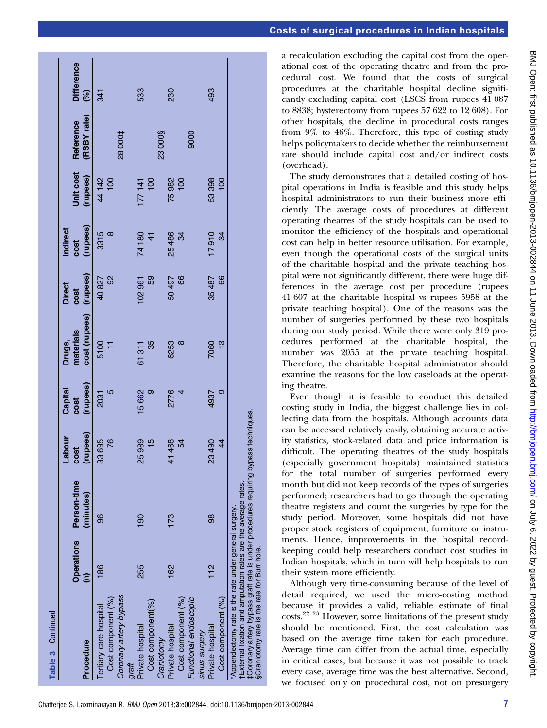|  |  | Costs of surgical procedures in Indian hospitals |  |  |  |
|--|--|--------------------------------------------------|--|--|--|
|--|--|--------------------------------------------------|--|--|--|

| Table 3 Continued                                                                                                                                                                                                                                                   |                                           |                          |                            |                             |                                               |                         |                                     |                       |                          |                          |
|---------------------------------------------------------------------------------------------------------------------------------------------------------------------------------------------------------------------------------------------------------------------|-------------------------------------------|--------------------------|----------------------------|-----------------------------|-----------------------------------------------|-------------------------|-------------------------------------|-----------------------|--------------------------|--------------------------|
| Procedure                                                                                                                                                                                                                                                           | <b>Operations</b><br>$\widehat{\epsilon}$ | Person-time<br>(minutes) | (rupees)<br>Labour<br>cost | (rupees)<br>Capital<br>cost | cost (rupees) (rupees)<br>naterials<br>Drugs, | <b>Direct</b><br>cost   | (rupees)<br><b>Indirect</b><br>cost | Unit cost<br>(rupees) | (RSBY rate)<br>Reference | <b>Difference</b><br>(%) |
| Coronary artery bypass<br>Cost component (%)<br>Tertiary care hospital                                                                                                                                                                                              | 186                                       | 96                       | 33695<br>76                | ю<br>2031                   | 5100                                          | $\overline{9}$<br>40827 | 3315<br>$^{\circ}$                  | 44 142<br>100         | 28 000#                  | 341                      |
| Cost component(%)<br>Private hospital<br>graft                                                                                                                                                                                                                      | 255                                       | $\frac{8}{1}$            | 25989<br>$\frac{5}{1}$     | 15662<br>თ                  | 35<br>61311                                   | 59<br>102961            | 74180<br>$\frac{4}{3}$              | 100<br>177 141        |                          | 533                      |
| Functional endoscopic<br>Cost component (%)<br>Private hospital<br>Craniotomy                                                                                                                                                                                       | 162                                       | 173                      | 41468<br>54                | 2776                        | 6253<br>œ                                     | 66<br>50497             | 25486<br>34                         | 75982<br>100          | 23000§<br>9000           | 230                      |
| Cost component (%)<br>Private hospital<br>sinus surgery                                                                                                                                                                                                             | 112                                       | 8                        | 23490<br>$\frac{4}{4}$     | $\circ$<br>4937             | $\frac{3}{2}$<br>7060                         | 66<br>35487             | 17910<br>$\mathfrak{B}$             | 53398<br>100          |                          | 493                      |
| ‡Coronary artery bypass graft rate is under procedures requiring bypass techniques.<br><b>External fixation and amputation rates are the average rates.</b><br>*Appendectomy rate is the rate under general surgery.<br>§Craniotomy rate is the rate for Burr hole. |                                           |                          |                            |                             |                                               |                         |                                     |                       |                          |                          |

a recalculation excluding the capital cost from the operational cost of the operating theatre and from the procedural cost. We found that the costs of surgical procedures at the charitable hospital decline significantly excluding capital cost (LSCS from rupees 41 087 to 8838; hysterectomy from rupees 57 622 to 12 608). For other hospitals, the decline in procedural costs ranges from 9% to 46%. Therefore, this type of costing study helps policymakers to decide whether the reimbursement rate should include capital cost and/or indirect costs (overhead).

The study demonstrates that a detailed costing of hospital operations in India is feasible and this study helps hospital administrators to run their business more efficiently. The average costs of procedures at different operating theatres of the study hospitals can be used to monitor the efficiency of the hospitals and operational cost can help in better resource utilisation. For example, even though the operational costs of the surgical units of the charitable hospital and the private teaching hospital were not significantly different, there were huge differences in the average cost per procedure (rupees 41 607 at the charitable hospital vs rupees 5958 at the private teaching hospital). One of the reasons was the number of surgeries performed by these two hospitals during our study period. While there were only 319 procedures performed at the charitable hospital, the number was 2055 at the private teaching hospital. Therefore, the charitable hospital administrator should examine the reasons for the low caseloads at the operating theatre.

Even though it is feasible to conduct this detailed costing study in India, the biggest challenge lies in collecting data from the hospitals. Although accounts data can be accessed relatively easily, obtaining accurate activity statistics, stock-related data and price information is difficult. The operating theatres of the study hospitals (especially government hospitals) maintained statistics for the total number of surgeries performed every month but did not keep records of the types of surgeries performed; researchers had to go through the operating theatre registers and count the surgeries by type for the study period. Moreover, some hospitals did not have proper stock registers of equipment, furniture or instruments. Hence, improvements in the hospital recordkeeping could help researchers conduct cost studies in Indian hospitals, which in turn will help hospitals to run their system more efficiently.

Although very time-consuming because of the level of detail required, we used the micro-costing method because it provides a valid, reliable estimate of final costs.22 23 However, some limitations of the present study should be mentioned. First, the cost calculation was based on the average time taken for each procedure. Average time can differ from the actual time, especially in critical cases, but because it was not possible to track every case, average time was the best alternative. Second, we focused only on procedural cost, not on presurgery